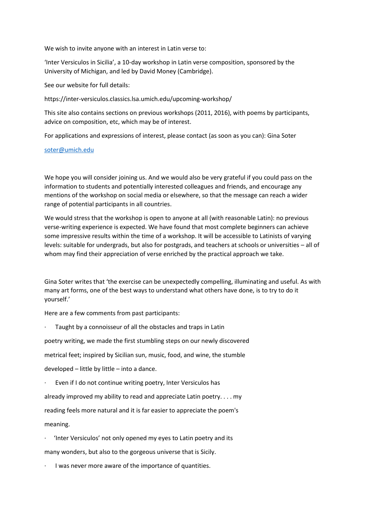We wish to invite anyone with an interest in Latin verse to:

'Inter Versiculos in Sicilia', a 10-day workshop in Latin verse composition, sponsored by the University of Michigan, and led by David Money (Cambridge).

See our website for full details:

https://inter-versiculos.classics.lsa.umich.edu/upcoming-workshop/

This site also contains sections on previous workshops (2011, 2016), with poems by participants, advice on composition, etc, which may be of interest.

For applications and expressions of interest, please contact (as soon as you can): Gina Soter

## [soter@umich.edu](mailto:soter@umich.edu)

We hope you will consider joining us. And we would also be very grateful if you could pass on the information to students and potentially interested colleagues and friends, and encourage any mentions of the workshop on social media or elsewhere, so that the message can reach a wider range of potential participants in all countries.

We would stress that the workshop is open to anyone at all (with reasonable Latin): no previous verse-writing experience is expected. We have found that most complete beginners can achieve some impressive results within the time of a workshop. It will be accessible to Latinists of varying levels: suitable for undergrads, but also for postgrads, and teachers at schools or universities – all of whom may find their appreciation of verse enriched by the practical approach we take.

Gina Soter writes that 'the exercise can be unexpectedly compelling, illuminating and useful. As with many art forms, one of the best ways to understand what others have done, is to try to do it yourself.'

Here are a few comments from past participants:

Taught by a connoisseur of all the obstacles and traps in Latin

poetry writing, we made the first stumbling steps on our newly discovered

metrical feet; inspired by Sicilian sun, music, food, and wine, the stumble

developed – little by little – into a dance.

Even if I do not continue writing poetry, Inter Versiculos has

already improved my ability to read and appreciate Latin poetry. . . . my

reading feels more natural and it is far easier to appreciate the poem's meaning.

· 'Inter Versiculos' not only opened my eyes to Latin poetry and its many wonders, but also to the gorgeous universe that is Sicily.

I was never more aware of the importance of quantities.